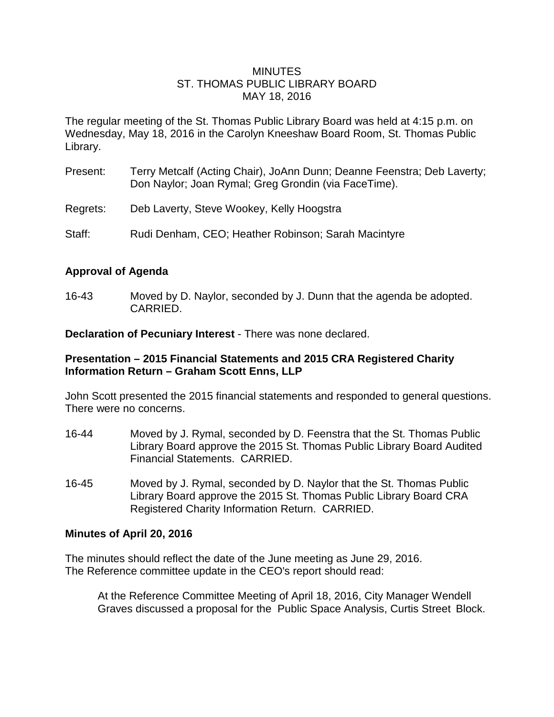#### **MINUTES** ST. THOMAS PUBLIC LIBRARY BOARD MAY 18, 2016

The regular meeting of the St. Thomas Public Library Board was held at 4:15 p.m. on Wednesday, May 18, 2016 in the Carolyn Kneeshaw Board Room, St. Thomas Public Library.

- Present: Terry Metcalf (Acting Chair), JoAnn Dunn; Deanne Feenstra; Deb Laverty; Don Naylor; Joan Rymal; Greg Grondin (via FaceTime).
- Regrets: Deb Laverty, Steve Wookey, Kelly Hoogstra
- Staff: Rudi Denham, CEO; Heather Robinson; Sarah Macintyre

#### **Approval of Agenda**

16-43 Moved by D. Naylor, seconded by J. Dunn that the agenda be adopted. CARRIED.

**Declaration of Pecuniary Interest** - There was none declared.

#### **Presentation – 2015 Financial Statements and 2015 CRA Registered Charity Information Return – Graham Scott Enns, LLP**

John Scott presented the 2015 financial statements and responded to general questions. There were no concerns.

- 16-44 Moved by J. Rymal, seconded by D. Feenstra that the St. Thomas Public Library Board approve the 2015 St. Thomas Public Library Board Audited Financial Statements. CARRIED.
- 16-45 Moved by J. Rymal, seconded by D. Naylor that the St. Thomas Public Library Board approve the 2015 St. Thomas Public Library Board CRA Registered Charity Information Return. CARRIED.

#### **Minutes of April 20, 2016**

The minutes should reflect the date of the June meeting as June 29, 2016. The Reference committee update in the CEO's report should read:

At the Reference Committee Meeting of April 18, 2016, City Manager Wendell Graves discussed a proposal for the Public Space Analysis, Curtis Street Block.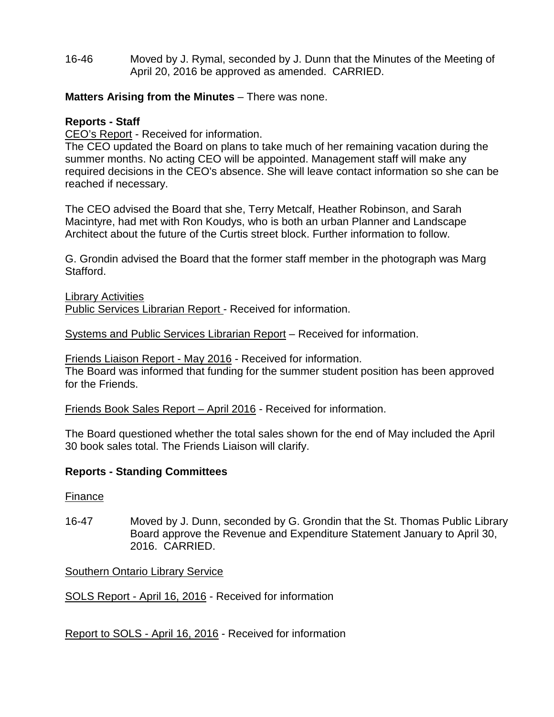16-46 Moved by J. Rymal, seconded by J. Dunn that the Minutes of the Meeting of April 20, 2016 be approved as amended. CARRIED.

# **Matters Arising from the Minutes** – There was none.

## **Reports - Staff**

CEO's Report - Received for information.

The CEO updated the Board on plans to take much of her remaining vacation during the summer months. No acting CEO will be appointed. Management staff will make any required decisions in the CEO's absence. She will leave contact information so she can be reached if necessary.

The CEO advised the Board that she, Terry Metcalf, Heather Robinson, and Sarah Macintyre, had met with Ron Koudys, who is both an urban Planner and Landscape Architect about the future of the Curtis street block. Further information to follow.

G. Grondin advised the Board that the former staff member in the photograph was Marg Stafford.

Library Activities Public Services Librarian Report - Received for information.

Systems and Public Services Librarian Report – Received for information.

Friends Liaison Report - May 2016 - Received for information.

The Board was informed that funding for the summer student position has been approved for the Friends.

Friends Book Sales Report – April 2016 - Received for information.

The Board questioned whether the total sales shown for the end of May included the April 30 book sales total. The Friends Liaison will clarify.

### **Reports - Standing Committees**

### Finance

16-47 Moved by J. Dunn, seconded by G. Grondin that the St. Thomas Public Library Board approve the Revenue and Expenditure Statement January to April 30, 2016. CARRIED.

Southern Ontario Library Service

SOLS Report - April 16, 2016 - Received for information

Report to SOLS - April 16, 2016 - Received for information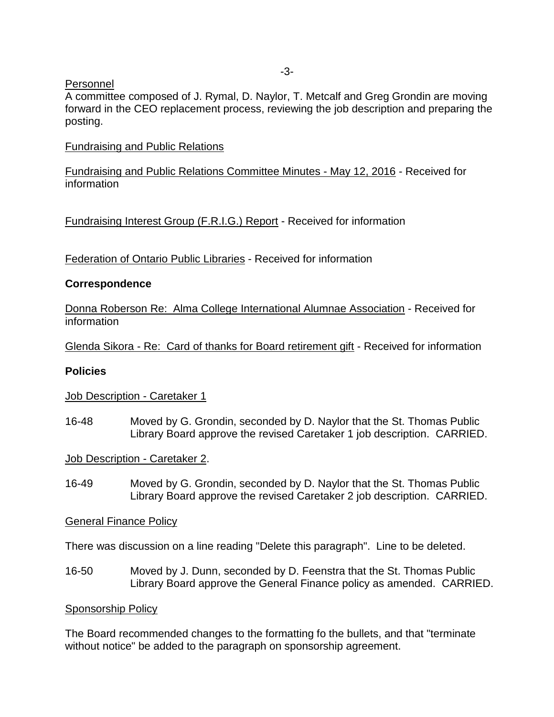#### Personnel

A committee composed of J. Rymal, D. Naylor, T. Metcalf and Greg Grondin are moving forward in the CEO replacement process, reviewing the job description and preparing the posting.

### Fundraising and Public Relations

Fundraising and Public Relations Committee Minutes - May 12, 2016 - Received for information

Fundraising Interest Group (F.R.I.G.) Report - Received for information

Federation of Ontario Public Libraries - Received for information

# **Correspondence**

Donna Roberson Re: Alma College International Alumnae Association - Received for information

Glenda Sikora - Re: Card of thanks for Board retirement gift - Received for information

### **Policies**

### Job Description - Caretaker 1

16-48 Moved by G. Grondin, seconded by D. Naylor that the St. Thomas Public Library Board approve the revised Caretaker 1 job description. CARRIED.

Job Description - Caretaker 2.

16-49 Moved by G. Grondin, seconded by D. Naylor that the St. Thomas Public Library Board approve the revised Caretaker 2 job description. CARRIED.

General Finance Policy

There was discussion on a line reading "Delete this paragraph". Line to be deleted.

16-50 Moved by J. Dunn, seconded by D. Feenstra that the St. Thomas Public Library Board approve the General Finance policy as amended. CARRIED.

### Sponsorship Policy

The Board recommended changes to the formatting fo the bullets, and that "terminate without notice" be added to the paragraph on sponsorship agreement.